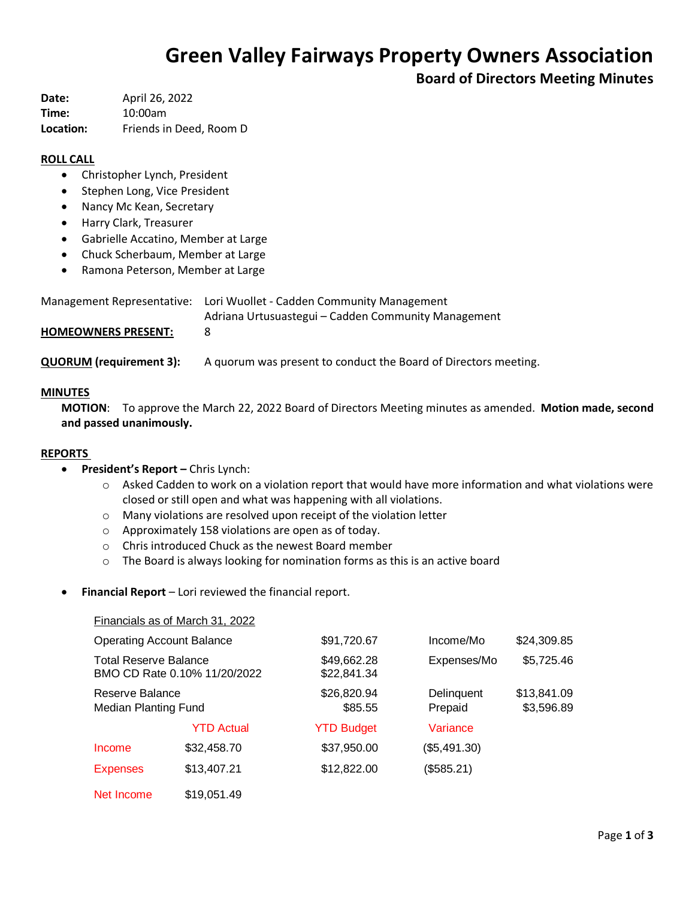# **Green Valley Fairways Property Owners Association**

**Board of Directors Meeting Minutes**

**Date:** April 26, 2022 **Time:** 10:00am **Location:** Friends in Deed, Room D

## **ROLL CALL**

- Christopher Lynch, President
- Stephen Long, Vice President
- Nancy Mc Kean, Secretary
- Harry Clark, Treasurer
- Gabrielle Accatino, Member at Large
- Chuck Scherbaum, Member at Large
- Ramona Peterson, Member at Large

|                              | Management Representative: Lori Wuollet - Cadden Community Management |  |
|------------------------------|-----------------------------------------------------------------------|--|
|                              | Adriana Urtusuastegui – Cadden Community Management                   |  |
| <b>UOMEOMINIEDE DDECENT.</b> |                                                                       |  |

**HOMEOWNERS PRESENT:** 8

**QUORUM (requirement 3):** A quorum was present to conduct the Board of Directors meeting.

## **MINUTES**

**MOTION**: To approve the March 22, 2022 Board of Directors Meeting minutes as amended. **Motion made, second and passed unanimously.**

## **REPORTS**

- **President's Report –** Chris Lynch:
	- $\circ$  Asked Cadden to work on a violation report that would have more information and what violations were closed or still open and what was happening with all violations.
	- o Many violations are resolved upon receipt of the violation letter
	- o Approximately 158 violations are open as of today.
	- o Chris introduced Chuck as the newest Board member
	- o The Board is always looking for nomination forms as this is an active board
- **Financial Report** Lori reviewed the financial report.

|                                                              | Financials as of March 31, 2022 |                            |                       |                           |
|--------------------------------------------------------------|---------------------------------|----------------------------|-----------------------|---------------------------|
| <b>Operating Account Balance</b>                             |                                 | \$91,720.67                | Income/Mo             | \$24,309.85               |
| <b>Total Reserve Balance</b><br>BMO CD Rate 0.10% 11/20/2022 |                                 | \$49,662.28<br>\$22,841.34 | Expenses/Mo           | \$5,725.46                |
| Reserve Balance<br><b>Median Planting Fund</b>               |                                 | \$26,820.94<br>\$85.55     | Delinquent<br>Prepaid | \$13,841.09<br>\$3,596.89 |
|                                                              | <b>YTD Actual</b>               | <b>YTD Budget</b>          | Variance              |                           |
| Income                                                       | \$32,458.70                     | \$37,950.00                | (\$5,491.30)          |                           |
| <b>Expenses</b>                                              | \$13,407.21                     | \$12,822.00                | (\$585.21)            |                           |
| Net Income                                                   | \$19,051.49                     |                            |                       |                           |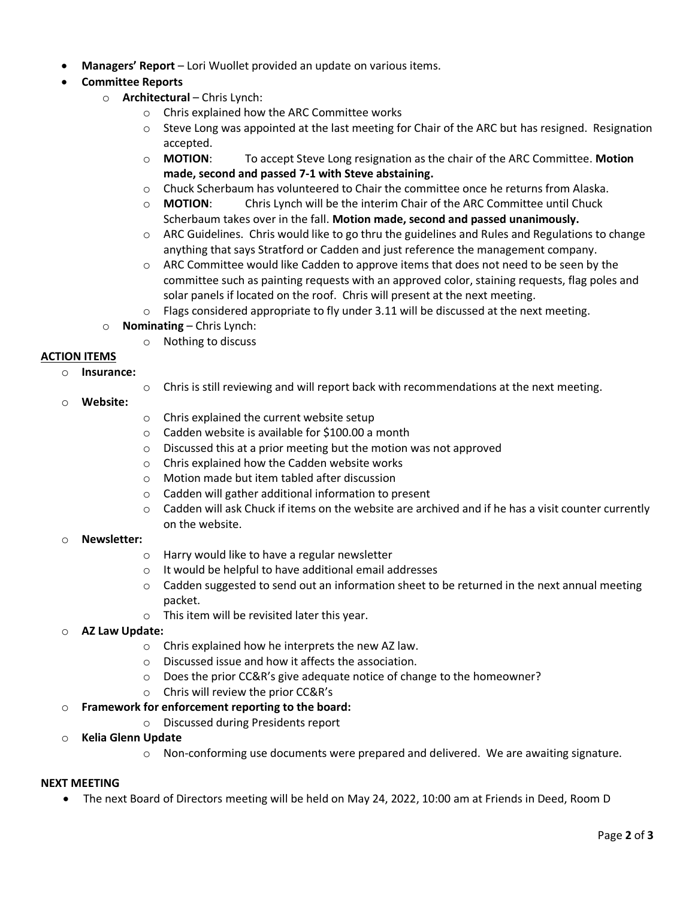**Managers' Report** – Lori Wuollet provided an update on various items.

## **Committee Reports**

- o **Architectural** Chris Lynch:
	- o Chris explained how the ARC Committee works
	- $\circ$  Steve Long was appointed at the last meeting for Chair of the ARC but has resigned. Resignation accepted.
	- o **MOTION**: To accept Steve Long resignation as the chair of the ARC Committee. **Motion made, second and passed 7-1 with Steve abstaining.**
	- o Chuck Scherbaum has volunteered to Chair the committee once he returns from Alaska.
	- o **MOTION**: Chris Lynch will be the interim Chair of the ARC Committee until Chuck Scherbaum takes over in the fall. **Motion made, second and passed unanimously.**
	- $\circ$  ARC Guidelines. Chris would like to go thru the guidelines and Rules and Regulations to change anything that says Stratford or Cadden and just reference the management company.
	- $\circ$  ARC Committee would like Cadden to approve items that does not need to be seen by the committee such as painting requests with an approved color, staining requests, flag poles and solar panels if located on the roof. Chris will present at the next meeting.
	- $\circ$  Flags considered appropriate to fly under 3.11 will be discussed at the next meeting.
- o **Nominating**  Chris Lynch:
	- o Nothing to discuss

## **ACTION ITEMS**

- o **Insurance:**
	- o Chris is still reviewing and will report back with recommendations at the next meeting.
- o **Website:**
- o Chris explained the current website setup
- o Cadden website is available for \$100.00 a month
- o Discussed this at a prior meeting but the motion was not approved
- o Chris explained how the Cadden website works
- o Motion made but item tabled after discussion
- o Cadden will gather additional information to present
- $\circ$  Cadden will ask Chuck if items on the website are archived and if he has a visit counter currently on the website.
- o **Newsletter:**
	- o Harry would like to have a regular newsletter
	- o It would be helpful to have additional email addresses
	- $\circ$  Cadden suggested to send out an information sheet to be returned in the next annual meeting packet.
	- o This item will be revisited later this year.

## o **AZ Law Update:**

- o Chris explained how he interprets the new AZ law.
- o Discussed issue and how it affects the association.
- $\circ$  Does the prior CC&R's give adequate notice of change to the homeowner?
- o Chris will review the prior CC&R's

## o **Framework for enforcement reporting to the board:**

- o Discussed during Presidents report
- o **Kelia Glenn Update**
	- $\circ$  Non-conforming use documents were prepared and delivered. We are awaiting signature.

## **NEXT MEETING**

The next Board of Directors meeting will be held on May 24, 2022, 10:00 am at Friends in Deed, Room D